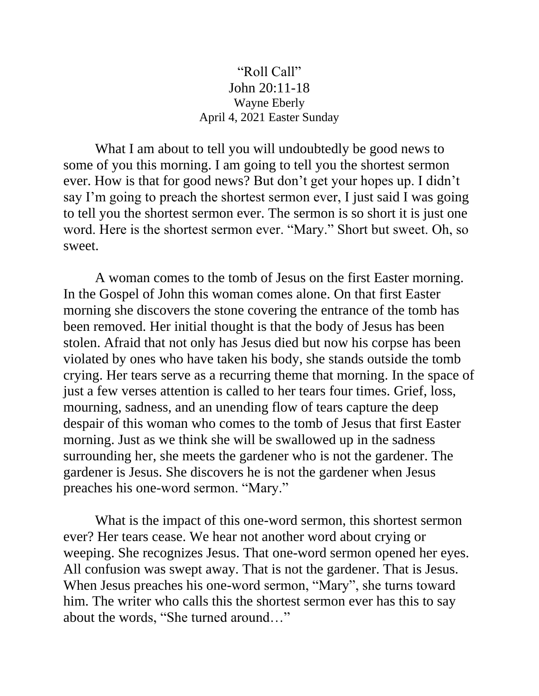## "Roll Call" John 20:11-18 Wayne Eberly April 4, 2021 Easter Sunday

What I am about to tell you will undoubtedly be good news to some of you this morning. I am going to tell you the shortest sermon ever. How is that for good news? But don't get your hopes up. I didn't say I'm going to preach the shortest sermon ever, I just said I was going to tell you the shortest sermon ever. The sermon is so short it is just one word. Here is the shortest sermon ever. "Mary." Short but sweet. Oh, so sweet.

A woman comes to the tomb of Jesus on the first Easter morning. In the Gospel of John this woman comes alone. On that first Easter morning she discovers the stone covering the entrance of the tomb has been removed. Her initial thought is that the body of Jesus has been stolen. Afraid that not only has Jesus died but now his corpse has been violated by ones who have taken his body, she stands outside the tomb crying. Her tears serve as a recurring theme that morning. In the space of just a few verses attention is called to her tears four times. Grief, loss, mourning, sadness, and an unending flow of tears capture the deep despair of this woman who comes to the tomb of Jesus that first Easter morning. Just as we think she will be swallowed up in the sadness surrounding her, she meets the gardener who is not the gardener. The gardener is Jesus. She discovers he is not the gardener when Jesus preaches his one-word sermon. "Mary."

What is the impact of this one-word sermon, this shortest sermon ever? Her tears cease. We hear not another word about crying or weeping. She recognizes Jesus. That one-word sermon opened her eyes. All confusion was swept away. That is not the gardener. That is Jesus. When Jesus preaches his one-word sermon, "Mary", she turns toward him. The writer who calls this the shortest sermon ever has this to say about the words, "She turned around…"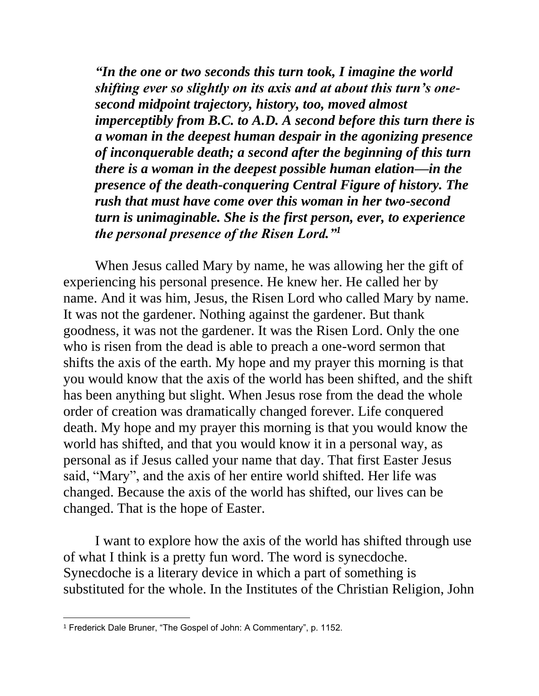*"In the one or two seconds this turn took, I imagine the world shifting ever so slightly on its axis and at about this turn's onesecond midpoint trajectory, history, too, moved almost imperceptibly from B.C. to A.D. A second before this turn there is a woman in the deepest human despair in the agonizing presence of inconquerable death; a second after the beginning of this turn there is a woman in the deepest possible human elation—in the presence of the death-conquering Central Figure of history. The rush that must have come over this woman in her two-second turn is unimaginable. She is the first person, ever, to experience the personal presence of the Risen Lord."<sup>1</sup>*

When Jesus called Mary by name, he was allowing her the gift of experiencing his personal presence. He knew her. He called her by name. And it was him, Jesus, the Risen Lord who called Mary by name. It was not the gardener. Nothing against the gardener. But thank goodness, it was not the gardener. It was the Risen Lord. Only the one who is risen from the dead is able to preach a one-word sermon that shifts the axis of the earth. My hope and my prayer this morning is that you would know that the axis of the world has been shifted, and the shift has been anything but slight. When Jesus rose from the dead the whole order of creation was dramatically changed forever. Life conquered death. My hope and my prayer this morning is that you would know the world has shifted, and that you would know it in a personal way, as personal as if Jesus called your name that day. That first Easter Jesus said, "Mary", and the axis of her entire world shifted. Her life was changed. Because the axis of the world has shifted, our lives can be changed. That is the hope of Easter.

I want to explore how the axis of the world has shifted through use of what I think is a pretty fun word. The word is synecdoche. Synecdoche is a literary device in which a part of something is substituted for the whole. In the Institutes of the Christian Religion, John

<sup>1</sup> Frederick Dale Bruner, "The Gospel of John: A Commentary", p. 1152.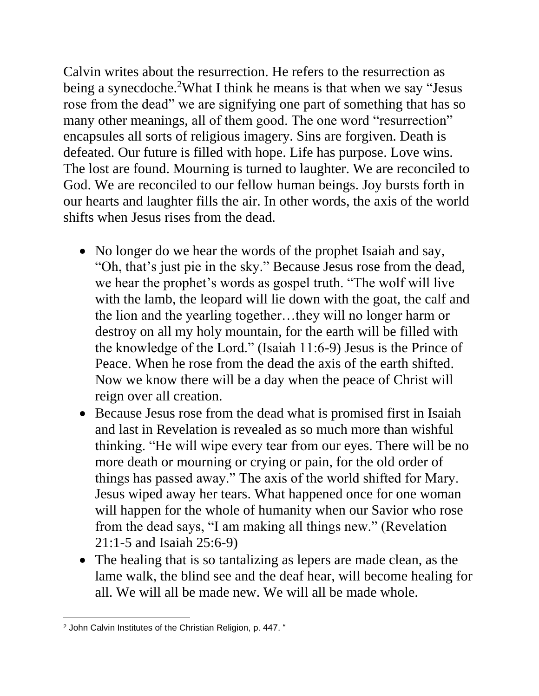Calvin writes about the resurrection. He refers to the resurrection as being a synecdoche.<sup>2</sup>What I think he means is that when we say "Jesus rose from the dead" we are signifying one part of something that has so many other meanings, all of them good. The one word "resurrection" encapsules all sorts of religious imagery. Sins are forgiven. Death is defeated. Our future is filled with hope. Life has purpose. Love wins. The lost are found. Mourning is turned to laughter. We are reconciled to God. We are reconciled to our fellow human beings. Joy bursts forth in our hearts and laughter fills the air. In other words, the axis of the world shifts when Jesus rises from the dead.

- No longer do we hear the words of the prophet Isaiah and say, "Oh, that's just pie in the sky." Because Jesus rose from the dead, we hear the prophet's words as gospel truth. "The wolf will live with the lamb, the leopard will lie down with the goat, the calf and the lion and the yearling together…they will no longer harm or destroy on all my holy mountain, for the earth will be filled with the knowledge of the Lord." (Isaiah 11:6-9) Jesus is the Prince of Peace. When he rose from the dead the axis of the earth shifted. Now we know there will be a day when the peace of Christ will reign over all creation.
- Because Jesus rose from the dead what is promised first in Isaiah and last in Revelation is revealed as so much more than wishful thinking. "He will wipe every tear from our eyes. There will be no more death or mourning or crying or pain, for the old order of things has passed away." The axis of the world shifted for Mary. Jesus wiped away her tears. What happened once for one woman will happen for the whole of humanity when our Savior who rose from the dead says, "I am making all things new." (Revelation 21:1-5 and Isaiah 25:6-9)
- The healing that is so tantalizing as lepers are made clean, as the lame walk, the blind see and the deaf hear, will become healing for all. We will all be made new. We will all be made whole.

<sup>2</sup> John Calvin Institutes of the Christian Religion, p. 447. "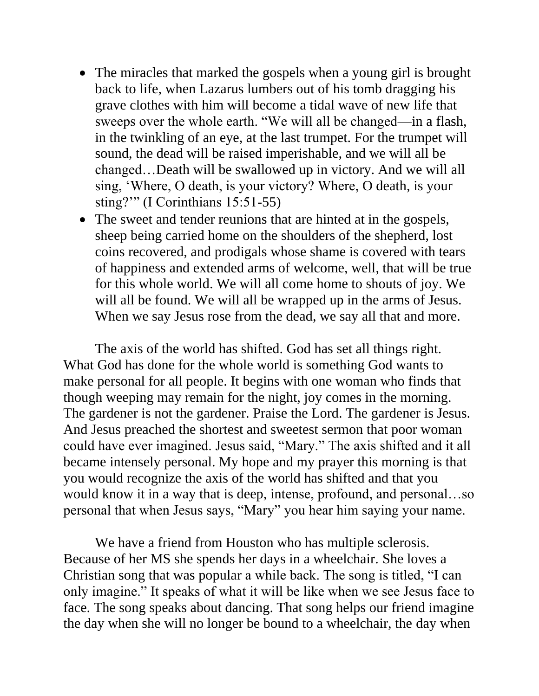- The miracles that marked the gospels when a young girl is brought back to life, when Lazarus lumbers out of his tomb dragging his grave clothes with him will become a tidal wave of new life that sweeps over the whole earth. "We will all be changed—in a flash, in the twinkling of an eye, at the last trumpet. For the trumpet will sound, the dead will be raised imperishable, and we will all be changed…Death will be swallowed up in victory. And we will all sing, 'Where, O death, is your victory? Where, O death, is your sting?'" (I Corinthians 15:51-55)
- The sweet and tender reunions that are hinted at in the gospels, sheep being carried home on the shoulders of the shepherd, lost coins recovered, and prodigals whose shame is covered with tears of happiness and extended arms of welcome, well, that will be true for this whole world. We will all come home to shouts of joy. We will all be found. We will all be wrapped up in the arms of Jesus. When we say Jesus rose from the dead, we say all that and more.

The axis of the world has shifted. God has set all things right. What God has done for the whole world is something God wants to make personal for all people. It begins with one woman who finds that though weeping may remain for the night, joy comes in the morning. The gardener is not the gardener. Praise the Lord. The gardener is Jesus. And Jesus preached the shortest and sweetest sermon that poor woman could have ever imagined. Jesus said, "Mary." The axis shifted and it all became intensely personal. My hope and my prayer this morning is that you would recognize the axis of the world has shifted and that you would know it in a way that is deep, intense, profound, and personal…so personal that when Jesus says, "Mary" you hear him saying your name.

We have a friend from Houston who has multiple sclerosis. Because of her MS she spends her days in a wheelchair. She loves a Christian song that was popular a while back. The song is titled, "I can only imagine." It speaks of what it will be like when we see Jesus face to face. The song speaks about dancing. That song helps our friend imagine the day when she will no longer be bound to a wheelchair, the day when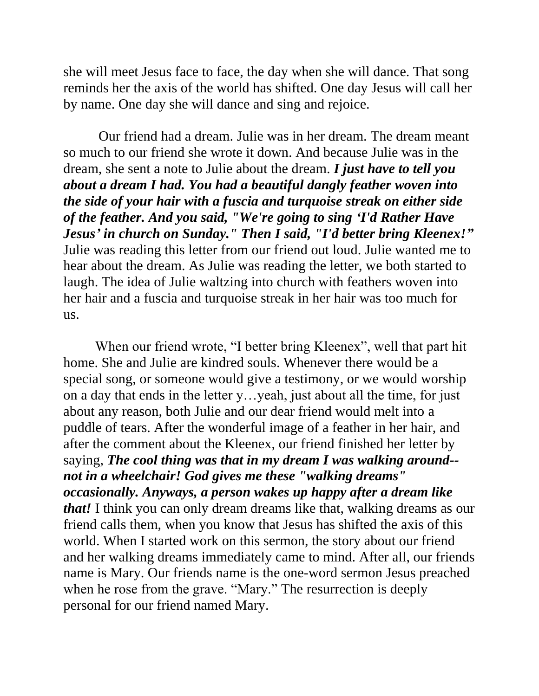she will meet Jesus face to face, the day when she will dance. That song reminds her the axis of the world has shifted. One day Jesus will call her by name. One day she will dance and sing and rejoice.

Our friend had a dream. Julie was in her dream. The dream meant so much to our friend she wrote it down. And because Julie was in the dream, she sent a note to Julie about the dream. *I just have to tell you about a dream I had. You had a beautiful dangly feather woven into the side of your hair with a fuscia and turquoise streak on either side of the feather. And you said, "We're going to sing 'I'd Rather Have Jesus' in church on Sunday." Then I said, "I'd better bring Kleenex!"* Julie was reading this letter from our friend out loud. Julie wanted me to hear about the dream. As Julie was reading the letter, we both started to laugh. The idea of Julie waltzing into church with feathers woven into her hair and a fuscia and turquoise streak in her hair was too much for us.

When our friend wrote, "I better bring Kleenex", well that part hit home. She and Julie are kindred souls. Whenever there would be a special song, or someone would give a testimony, or we would worship on a day that ends in the letter y…yeah, just about all the time, for just about any reason, both Julie and our dear friend would melt into a puddle of tears. After the wonderful image of a feather in her hair, and after the comment about the Kleenex, our friend finished her letter by saying, *The cool thing was that in my dream I was walking around- not in a wheelchair! God gives me these "walking dreams" occasionally. Anyways, a person wakes up happy after a dream like that!* I think you can only dream dreams like that, walking dreams as our friend calls them, when you know that Jesus has shifted the axis of this world. When I started work on this sermon, the story about our friend and her walking dreams immediately came to mind. After all, our friends name is Mary. Our friends name is the one-word sermon Jesus preached when he rose from the grave. "Mary." The resurrection is deeply personal for our friend named Mary.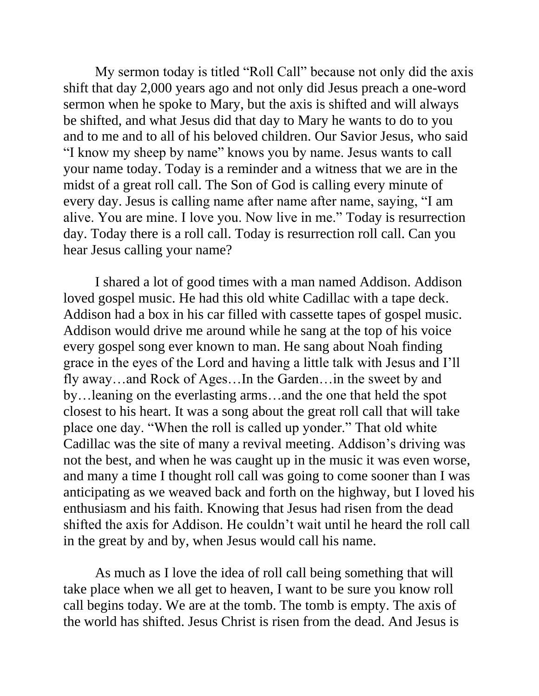My sermon today is titled "Roll Call" because not only did the axis shift that day 2,000 years ago and not only did Jesus preach a one-word sermon when he spoke to Mary, but the axis is shifted and will always be shifted, and what Jesus did that day to Mary he wants to do to you and to me and to all of his beloved children. Our Savior Jesus, who said "I know my sheep by name" knows you by name. Jesus wants to call your name today. Today is a reminder and a witness that we are in the midst of a great roll call. The Son of God is calling every minute of every day. Jesus is calling name after name after name, saying, "I am alive. You are mine. I love you. Now live in me." Today is resurrection day. Today there is a roll call. Today is resurrection roll call. Can you hear Jesus calling your name?

I shared a lot of good times with a man named Addison. Addison loved gospel music. He had this old white Cadillac with a tape deck. Addison had a box in his car filled with cassette tapes of gospel music. Addison would drive me around while he sang at the top of his voice every gospel song ever known to man. He sang about Noah finding grace in the eyes of the Lord and having a little talk with Jesus and I'll fly away…and Rock of Ages…In the Garden…in the sweet by and by…leaning on the everlasting arms…and the one that held the spot closest to his heart. It was a song about the great roll call that will take place one day. "When the roll is called up yonder." That old white Cadillac was the site of many a revival meeting. Addison's driving was not the best, and when he was caught up in the music it was even worse, and many a time I thought roll call was going to come sooner than I was anticipating as we weaved back and forth on the highway, but I loved his enthusiasm and his faith. Knowing that Jesus had risen from the dead shifted the axis for Addison. He couldn't wait until he heard the roll call in the great by and by, when Jesus would call his name.

As much as I love the idea of roll call being something that will take place when we all get to heaven, I want to be sure you know roll call begins today. We are at the tomb. The tomb is empty. The axis of the world has shifted. Jesus Christ is risen from the dead. And Jesus is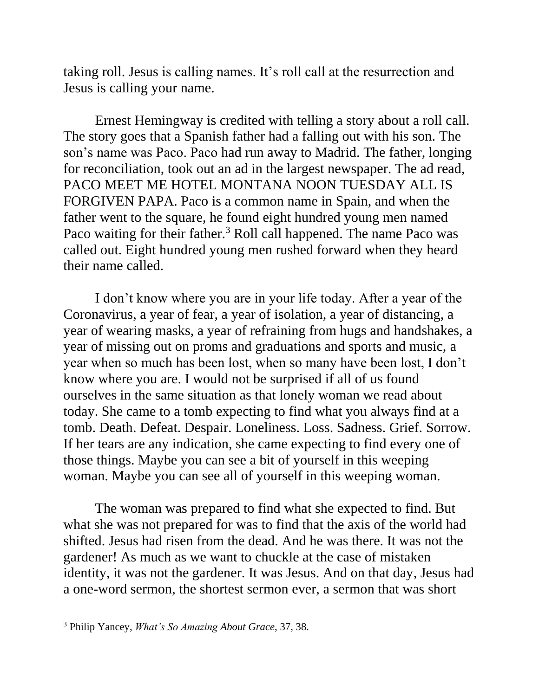taking roll. Jesus is calling names. It's roll call at the resurrection and Jesus is calling your name.

Ernest Hemingway is credited with telling a story about a roll call. The story goes that a Spanish father had a falling out with his son. The son's name was Paco. Paco had run away to Madrid. The father, longing for reconciliation, took out an ad in the largest newspaper. The ad read, PACO MEET ME HOTEL MONTANA NOON TUESDAY ALL IS FORGIVEN PAPA. Paco is a common name in Spain, and when the father went to the square, he found eight hundred young men named Paco waiting for their father.<sup>3</sup> Roll call happened. The name Paco was called out. Eight hundred young men rushed forward when they heard their name called.

I don't know where you are in your life today. After a year of the Coronavirus, a year of fear, a year of isolation, a year of distancing, a year of wearing masks, a year of refraining from hugs and handshakes, a year of missing out on proms and graduations and sports and music, a year when so much has been lost, when so many have been lost, I don't know where you are. I would not be surprised if all of us found ourselves in the same situation as that lonely woman we read about today. She came to a tomb expecting to find what you always find at a tomb. Death. Defeat. Despair. Loneliness. Loss. Sadness. Grief. Sorrow. If her tears are any indication, she came expecting to find every one of those things. Maybe you can see a bit of yourself in this weeping woman. Maybe you can see all of yourself in this weeping woman.

The woman was prepared to find what she expected to find. But what she was not prepared for was to find that the axis of the world had shifted. Jesus had risen from the dead. And he was there. It was not the gardener! As much as we want to chuckle at the case of mistaken identity, it was not the gardener. It was Jesus. And on that day, Jesus had a one-word sermon, the shortest sermon ever, a sermon that was short

<sup>3</sup> Philip Yancey, *What's So Amazing About Grace*, 37, 38.